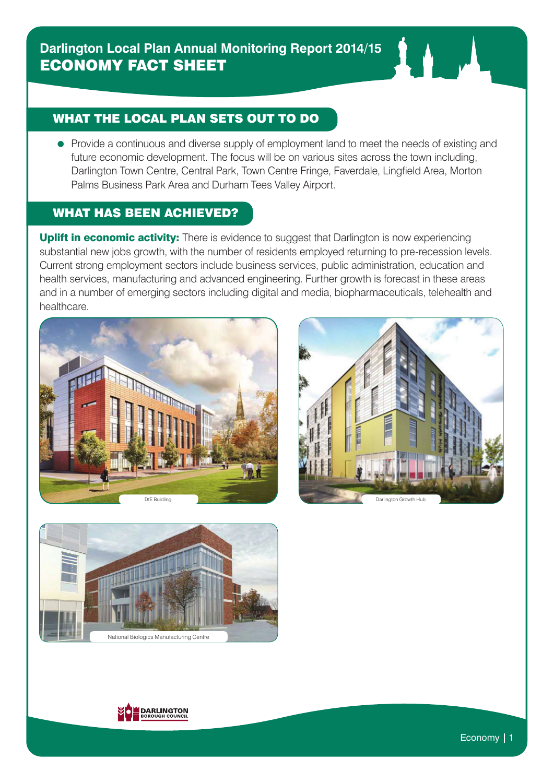## WHAT THE LOCAL PLAN SETS OUT TO DO

• Provide a continuous and diverse supply of employment land to meet the needs of existing and future economic development. The focus will be on various sites across the town including, Darlington Town Centre, Central Park, Town Centre Fringe, Faverdale, Lingfield Area, Morton Palms Business Park Area and Durham Tees Valley Airport.

## WHAT HAS BEEN ACHIEVED?

Uplift in economic activity: There is evidence to suggest that Darlington is now experiencing substantial new jobs growth, with the number of residents employed returning to pre-recession levels. Current strong employment sectors include business services, public administration, education and health services, manufacturing and advanced engineering. Further growth is forecast in these areas and in a number of emerging sectors including digital and media, biopharmaceuticals, telehealth and healthcare.







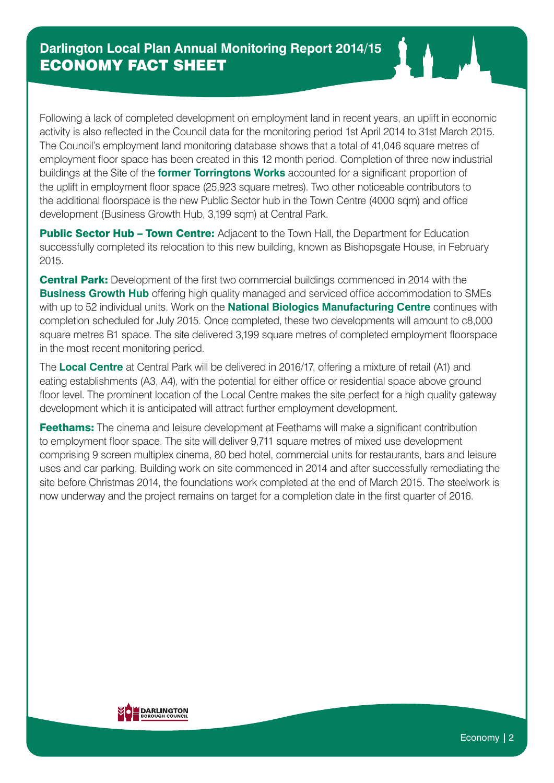Following a lack of completed development on employment land in recent years, an uplift in economic activity is also reflected in the Council data for the monitoring period 1st April 2014 to 31st March 2015. The Council's employment land monitoring database shows that a total of 41,046 square metres of employment floor space has been created in this 12 month period. Completion of three new industrial buildings at the Site of the **former Torringtons Works** accounted for a significant proportion of the uplift in employment floor space (25,923 square metres). Two other noticeable contributors to the additional floorspace is the new Public Sector hub in the Town Centre (4000 sqm) and office development (Business Growth Hub, 3,199 sqm) at Central Park.

Public Sector Hub - Town Centre: Adjacent to the Town Hall, the Department for Education successfully completed its relocation to this new building, known as Bishopsgate House, in February 2015.

**Central Park:** Development of the first two commercial buildings commenced in 2014 with the **Business Growth Hub** offering high quality managed and serviced office accommodation to SMEs with up to 52 individual units. Work on the **National Biologics Manufacturing Centre** continues with completion scheduled for July 2015. Once completed, these two developments will amount to c8,000 square metres B1 space. The site delivered 3,199 square metres of completed employment floorspace in the most recent monitoring period.

The **Local Centre** at Central Park will be delivered in 2016/17, offering a mixture of retail (A1) and eating establishments (A3, A4), with the potential for either office or residential space above ground floor level. The prominent location of the Local Centre makes the site perfect for a high quality gateway development which it is anticipated will attract further employment development.

**Feethams:** The cinema and leisure development at Feethams will make a significant contribution to employment floor space. The site will deliver 9,711 square metres of mixed use development comprising 9 screen multiplex cinema, 80 bed hotel, commercial units for restaurants, bars and leisure uses and car parking. Building work on site commenced in 2014 and after successfully remediating the site before Christmas 2014, the foundations work completed at the end of March 2015. The steelwork is now underway and the project remains on target for a completion date in the first quarter of 2016.